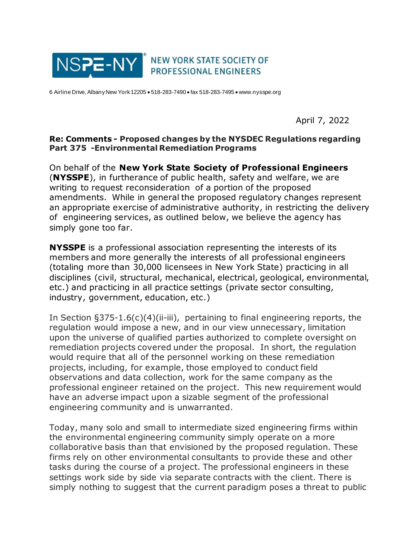

6 Airline Drive, Albany New York 12205 • 518-283-7490 • fax 518-283-7495 • www.nysspe.org

April 7, 2022

## **Re: Comments - Proposed changes by the NYSDEC Regulations regarding Part 375 -Environmental Remediation Programs**

On behalf of the **New York State Society of Professional Engineers**  (**NYSSPE**), in furtherance of public health, safety and welfare, we are writing to request reconsideration of a portion of the proposed amendments. While in general the proposed regulatory changes represent an appropriate exercise of administrative authority, in restricting the delivery of engineering services, as outlined below, we believe the agency has simply gone too far.

**NYSSPE** is a professional association representing the interests of its members and more generally the interests of all professional engineers (totaling more than 30,000 licensees in New York State) practicing in all disciplines (civil, structural, mechanical, electrical, geological, environmental, etc.) and practicing in all practice settings (private sector consulting, industry, government, education, etc.)

In Section §375-1.6(c)(4)(ii-iii), pertaining to final engineering reports, the regulation would impose a new, and in our view unnecessary, limitation upon the universe of qualified parties authorized to complete oversight on remediation projects covered under the proposal. In short, the regulation would require that all of the personnel working on these remediation projects, including, for example, those employed to conduct field observations and data collection, work for the same company as the professional engineer retained on the project. This new requirement would have an adverse impact upon a sizable segment of the professional engineering community and is unwarranted.

Today, many solo and small to intermediate sized engineering firms within the environmental engineering community simply operate on a more collaborative basis than that envisioned by the proposed regulation. These firms rely on other environmental consultants to provide these and other tasks during the course of a project. The professional engineers in these settings work side by side via separate contracts with the client. There is simply nothing to suggest that the current paradigm poses a threat to public